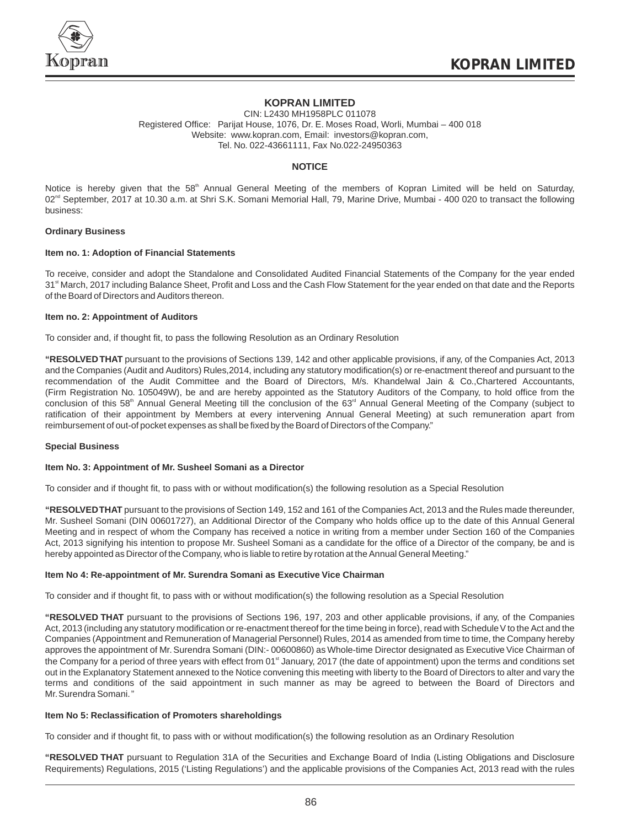

# **KOPRAN LIMITED**

CIN: L2430 MH1958PLC 011078 Registered Office: Parijat House, 1076, Dr. E. Moses Road, Worli, Mumbai – 400 018 Website: www.kopran.com, Email: investors@kopran.com, Tel. No. 022-43661111, Fax No.022-24950363

# **NOTICE**

Notice is hereby given that the 58<sup>th</sup> Annual General Meeting of the members of Kopran Limited will be held on Saturday, 02<sup>nd</sup> September, 2017 at 10.30 a.m. at Shri S.K. Somani Memorial Hall, 79, Marine Drive, Mumbai - 400 020 to transact the following business:

# **Ordinary Business**

# **Item no. 1: Adoption of Financial Statements**

To receive, consider and adopt the Standalone and Consolidated Audited Financial Statements of the Company for the year ended 31<sup>st</sup> March, 2017 including Balance Sheet, Profit and Loss and the Cash Flow Statement for the year ended on that date and the Reports of the Board of Directors and Auditors thereon.

### **Item no. 2: Appointment of Auditors**

To consider and, if thought fit, to pass the following Resolution as an Ordinary Resolution

**"RESOLVED THAT** pursuant to the provisions of Sections 139, 142 and other applicable provisions, if any, of the Companies Act, 2013 and the Companies (Audit and Auditors) Rules,2014, including any statutory modification(s) or re-enactment thereof and pursuant to the recommendation of the Audit Committee and the Board of Directors, M/s. Khandelwal Jain & Co.,Chartered Accountants, (Firm Registration No. 105049W), be and are hereby appointed as the Statutory Auditors of the Company, to hold office from the conclusion of this 58<sup>th</sup> Annual General Meeting till the conclusion of the 63<sup>rd</sup> Annual General Meeting of the Company (subject to ratification of their appointment by Members at every intervening Annual General Meeting) at such remuneration apart from reimbursement of out-of pocket expenses as shall be fixed by the Board of Directors of the Company."

### **Special Business**

### **Item No. 3: Appointment of Mr. Susheel Somani as a Director**

To consider and if thought fit, to pass with or without modification(s) the following resolution as a Special Resolution

**"RESOLVED THAT** pursuant to the provisions of Section 149, 152 and 161 of the Companies Act, 2013 and the Rules made thereunder, Mr. Susheel Somani (DIN 00601727), an Additional Director of the Company who holds office up to the date of this Annual General Meeting and in respect of whom the Company has received a notice in writing from a member under Section 160 of the Companies Act, 2013 signifying his intention to propose Mr. Susheel Somani as a candidate for the office of a Director of the company, be and is hereby appointed as Director of the Company, who is liable to retire by rotation at the Annual General Meeting."

### **Item No 4: Re-appointment of Mr. Surendra Somani as Executive Vice Chairman**

To consider and if thought fit, to pass with or without modification(s) the following resolution as a Special Resolution

**"RESOLVED THAT** pursuant to the provisions of Sections 196, 197, 203 and other applicable provisions, if any, of the Companies Act, 2013 (including any statutory modification or re-enactment thereof for the time being in force), read with Schedule V to the Act and the Companies (Appointment and Remuneration of Managerial Personnel) Rules, 2014 as amended from time to time, the Company hereby approves the appointment of Mr.Surendra Somani (DIN:- 00600860) as Whole-time Director designated as Executive Vice Chairman of the Company for a period of three years with effect from 01<sup>\*</sup> January, 2017 (the date of appointment) upon the terms and conditions set out in the Explanatory Statement annexed to the Notice convening this meeting with liberty to the Board of Directors to alter and vary the terms and conditions of the said appointment in such manner as may be agreed to between the Board of Directors and Mr.Surendra Somani."

### **Item No 5: Reclassification of Promoters shareholdings**

To consider and if thought fit, to pass with or without modification(s) the following resolution as an Ordinary Resolution

**"RESOLVED THAT** pursuant to Regulation 31A of the Securities and Exchange Board of India (Listing Obligations and Disclosure Requirements) Regulations, 2015 ('Listing Regulations') and the applicable provisions of the Companies Act, 2013 read with the rules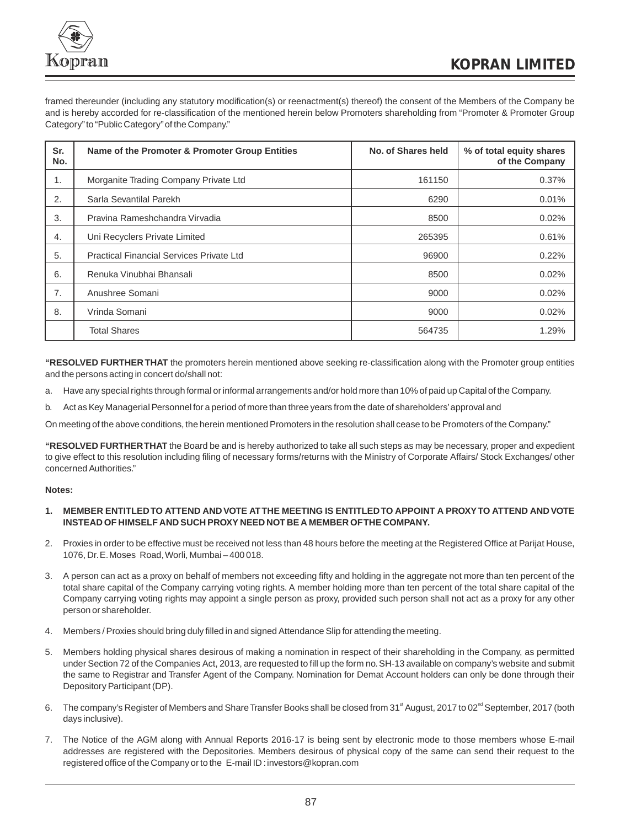

framed thereunder (including any statutory modification(s) or reenactment(s) thereof) the consent of the Members of the Company be and is hereby accorded for re-classification of the mentioned herein below Promoters shareholding from "Promoter & Promoter Group Category"to "Public Category"of the Company."

| Sr.<br>No. | Name of the Promoter & Promoter Group Entities  | No. of Shares held | % of total equity shares<br>of the Company |
|------------|-------------------------------------------------|--------------------|--------------------------------------------|
| 1.         | Morganite Trading Company Private Ltd           | 161150             | 0.37%                                      |
| 2.         | Sarla Sevantilal Parekh                         | 6290               | 0.01%                                      |
| 3.         | Pravina Rameshchandra Virvadia                  | 8500               | 0.02%                                      |
| 4.         | Uni Recyclers Private Limited                   | 265395             | 0.61%                                      |
| 5.         | <b>Practical Financial Services Private Ltd</b> | 96900              | 0.22%                                      |
| 6.         | Renuka Vinubhai Bhansali                        | 8500               | 0.02%                                      |
| 7.         | Anushree Somani                                 | 9000               | 0.02%                                      |
| 8.         | Vrinda Somani                                   | 9000               | 0.02%                                      |
|            | <b>Total Shares</b>                             | 564735             | 1.29%                                      |

**"RESOLVED FURTHER THAT** the promoters herein mentioned above seeking re-classification along with the Promoter group entities and the persons acting in concert do/shall not:

- a. Have any special rights through formal or informal arrangements and/or hold more than 10% of paid up Capital of the Company.
- b. Act as Key Managerial Personnel for a period of more than three years from the date of shareholders'approval and

On meeting of the above conditions, the herein mentioned Promoters in the resolution shall cease to be Promoters of the Company."

**"RESOLVED FURTHER THAT** the Board be and is hereby authorized to take all such steps as may be necessary, proper and expedient to give effect to this resolution including filing of necessary forms/returns with the Ministry of Corporate Affairs/ Stock Exchanges/ other concerned Authorities."

# **Notes:**

# **1. MEMBER ENTITLED TO ATTEND AND VOTE AT THE MEETING IS ENTITLED TO APPOINT A PROXY TO ATTEND AND VOTE INSTEAD OF HIMSELF AND SUCH PROXY NEED NOT BE A MEMBER OF THE COMPANY.**

- 2. Proxies in order to be effective must be received not less than 48 hours before the meeting at the Registered Office at Parijat House, 1076, Dr.E.Moses Road, Worli, Mumbai – 400 018.
- 3. A person can act as a proxy on behalf of members not exceeding fifty and holding in the aggregate not more than ten percent of the total share capital of the Company carrying voting rights. A member holding more than ten percent of the total share capital of the Company carrying voting rights may appoint a single person as proxy, provided such person shall not act as a proxy for any other person or shareholder.
- 4. Members / Proxies should bring duly filled in and signed Attendance Slip for attending the meeting.
- 5. Members holding physical shares desirous of making a nomination in respect of their shareholding in the Company, as permitted under Section 72 of the Companies Act, 2013, are requested to fill up the form no.SH-13 available on company's website and submit the same to Registrar and Transfer Agent of the Company. Nomination for Demat Account holders can only be done through their Depository Participant (DP).
- 6. The company's Register of Members and Share Transfer Books shall be closed from 31<sup>st</sup> August, 2017 to 02<sup>nd</sup> September, 2017 (both days inclusive).
- 7. The Notice of the AGM along with Annual Reports 2016-17 is being sent by electronic mode to those members whose E-mail addresses are registered with the Depositories. Members desirous of physical copy of the same can send their request to the registered office of the Company or to the E-mail ID : investors@kopran.com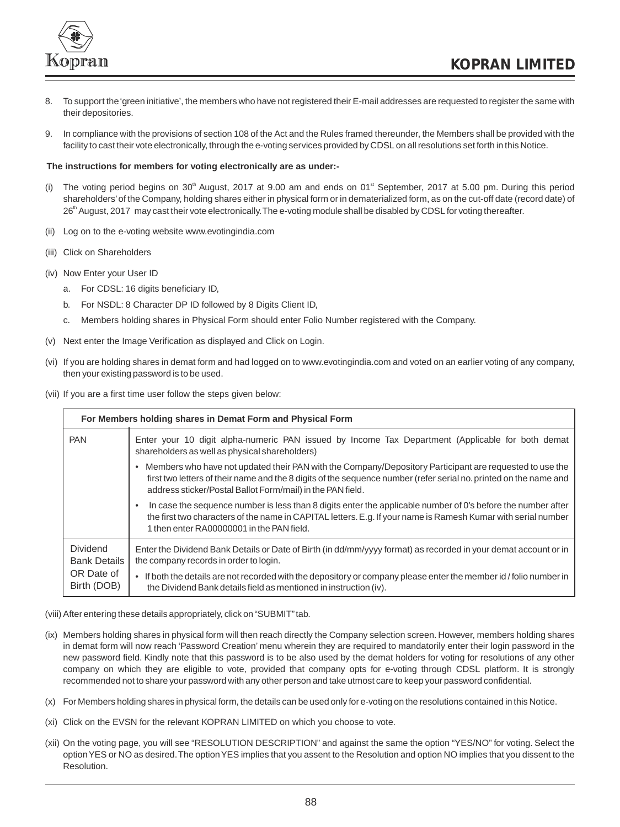

- 8. To support the 'green initiative', the members who have not registered their E-mail addresses are requested to register the same with their depositories.
- 9. In compliance with the provisions of section 108 of the Act and the Rules framed thereunder, the Members shall be provided with the facility to cast their vote electronically, through the e-voting services provided by CDSL on all resolutions set forth in this Notice.

### **The instructions for members for voting electronically are as under:-**

- (i) The voting period begins on 30<sup>th</sup> August, 2017 at 9.00 am and ends on 01<sup>st</sup> September, 2017 at 5.00 pm. During this period shareholders'of the Company, holding shares either in physical form or in dematerialized form, as on the cut-off date (record date) of 26<sup>th</sup> August, 2017 may cast their vote electronically. The e-voting module shall be disabled by CDSL for voting thereafter.
- (ii) Log on to the e-voting website www.evotingindia.com
- (iii) Click on Shareholders
- (iv) Now Enter your User ID
	- a. For CDSL: 16 digits beneficiary ID,
	- b. For NSDL: 8 Character DP ID followed by 8 Digits Client ID,
	- c. Members holding shares in Physical Form should enter Folio Number registered with the Company.
- (v) Next enter the Image Verification as displayed and Click on Login.
- (vi) If you are holding shares in demat form and had logged on to www.evotingindia.com and voted on an earlier voting of any company, then your existing password is to be used.
- (vii) If you are a first time user follow the steps given below:

| For Members holding shares in Demat Form and Physical Form |                                                                                                                                                                                                                                                                                            |  |  |
|------------------------------------------------------------|--------------------------------------------------------------------------------------------------------------------------------------------------------------------------------------------------------------------------------------------------------------------------------------------|--|--|
| <b>PAN</b>                                                 | Enter your 10 digit alpha-numeric PAN issued by Income Tax Department (Applicable for both demat<br>shareholders as well as physical shareholders)                                                                                                                                         |  |  |
|                                                            | Members who have not updated their PAN with the Company/Depository Participant are requested to use the<br>first two letters of their name and the 8 digits of the sequence number (refer serial no. printed on the name and<br>address sticker/Postal Ballot Form/mail) in the PAN field. |  |  |
|                                                            | In case the sequence number is less than 8 digits enter the applicable number of 0's before the number after<br>the first two characters of the name in CAPITAL letters. E.g. If your name is Ramesh Kumar with serial number<br>1 then enter RA00000001 in the PAN field.                 |  |  |
| <b>Dividend</b><br><b>Bank Details</b>                     | Enter the Dividend Bank Details or Date of Birth (in dd/mm/yyyy format) as recorded in your demat account or in<br>the company records in order to login.                                                                                                                                  |  |  |
| OR Date of<br>Birth (DOB)                                  | • If both the details are not recorded with the depository or company please enter the member id / folio number in<br>the Dividend Bank details field as mentioned in instruction (iv).                                                                                                    |  |  |

- (viii) After entering these details appropriately, click on "SUBMIT" tab.
- (ix) Members holding shares in physical form will then reach directly the Company selection screen. However, members holding shares in demat form will now reach 'Password Creation' menu wherein they are required to mandatorily enter their login password in the new password field. Kindly note that this password is to be also used by the demat holders for voting for resolutions of any other company on which they are eligible to vote, provided that company opts for e-voting through CDSL platform. It is strongly recommended not to share your password with any other person and take utmost care to keep your password confidential.
- (x) For Members holding shares in physical form, the details can be used only for e-voting on the resolutions contained in this Notice.
- (xi) Click on the EVSN for the relevant KOPRAN LIMITED on which you choose to vote.
- (xii) On the voting page, you will see "RESOLUTION DESCRIPTION" and against the same the option "YES/NO" for voting. Select the option YES or NO as desired.The option YES implies that you assent to the Resolution and option NO implies that you dissent to the Resolution.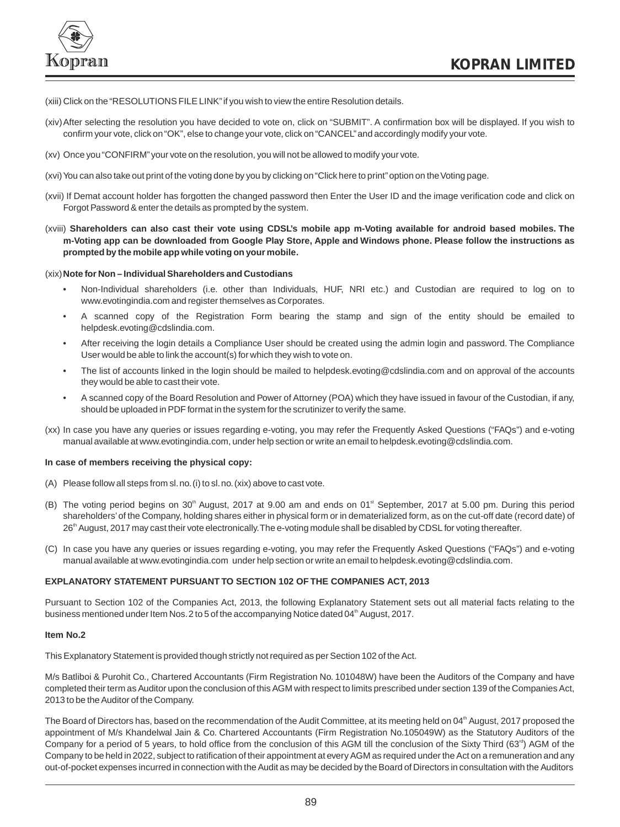

- (xiii) Click on the "RESOLUTIONS FILE LINK"if you wish to view the entire Resolution details.
- (xiv)After selecting the resolution you have decided to vote on, click on "SUBMIT". A confirmation box will be displayed. If you wish to confirm your vote, click on "OK", else to change your vote, click on "CANCEL"and accordingly modify your vote.
- (xv) Once you "CONFIRM" your vote on the resolution, you will not be allowed to modify your vote.
- (xvi) You can also take out print of the voting done by you by clicking on "Click here to print" option on the Voting page.
- (xvii) If Demat account holder has forgotten the changed password then Enter the User ID and the image verification code and click on Forgot Password & enter the details as prompted by the system.
- (xviii) **Shareholders can also cast their vote using CDSL's mobile app m-Voting available for android based mobiles. The m-Voting app can be downloaded from Google Play Store, Apple and Windows phone. Please follow the instructions as prompted by the mobile app while voting on your mobile.**

### (xix)**Note for Non – Individual Shareholders and Custodians**

- Non-Individual shareholders (i.e. other than Individuals, HUF, NRI etc.) and Custodian are required to log on to www.evotingindia.com and register themselves as Corporates.
- A scanned copy of the Registration Form bearing the stamp and sign of the entity should be emailed to helpdesk.evoting@cdslindia.com.
- After receiving the login details a Compliance User should be created using the admin login and password. The Compliance User would be able to link the account(s) for which they wish to vote on.
- The list of accounts linked in the login should be mailed to helpdesk.evoting@cdslindia.com and on approval of the accounts they would be able to cast their vote.
- A scanned copy of the Board Resolution and Power of Attorney (POA) which they have issued in favour of the Custodian, if any, should be uploaded in PDF format in the system for the scrutinizer to verify the same.
- (xx) In case you have any queries or issues regarding e-voting, you may refer the Frequently Asked Questions ("FAQs") and e-voting manual available at www.evotingindia.com, under help section or write an email to helpdesk.evoting@cdslindia.com.

### **In case of members receiving the physical copy:**

- (A) Please follow all steps from sl.no.(i) to sl.no.(xix) above to cast vote.
- (B) The voting period begins on  $30<sup>th</sup>$  August, 2017 at 9.00 am and ends on 01<sup>st</sup> September, 2017 at 5.00 pm. During this period shareholders'of the Company, holding shares either in physical form or in dematerialized form, as on the cut-off date (record date) of 26<sup>th</sup> August, 2017 may cast their vote electronically. The e-voting module shall be disabled by CDSL for voting thereafter.
- (C) In case you have any queries or issues regarding e-voting, you may refer the Frequently Asked Questions ("FAQs") and e-voting manual available at www.evotingindia.com under help section or write an email to helpdesk.evoting@cdslindia.com.

# **EXPLANATORY STATEMENT PURSUANT TO SECTION 102 OF THE COMPANIES ACT, 2013**

Pursuant to Section 102 of the Companies Act, 2013, the following Explanatory Statement sets out all material facts relating to the business mentioned under Item Nos. 2 to 5 of the accompanying Notice dated 04<sup>th</sup> August, 2017.

### **Item No.2**

This Explanatory Statement is provided though strictly not required as per Section 102 of the Act.

M/s Batliboi & Purohit Co., Chartered Accountants (Firm Registration No. 101048W) have been the Auditors of the Company and have completed their term as Auditor upon the conclusion of this AGM with respect to limits prescribed under section 139 of the Companies Act, 2013 to be the Auditor of the Company.

The Board of Directors has, based on the recommendation of the Audit Committee, at its meeting held on 04<sup>th</sup> August, 2017 proposed the appointment of M/s Khandelwal Jain & Co. Chartered Accountants (Firm Registration No.105049W) as the Statutory Auditors of the Company for a period of 5 years, to hold office from the conclusion of this AGM till the conclusion of the Sixty Third (63<sup>%</sup>) AGM of the Company to be held in 2022, subject to ratification of their appointment at every AGM as required under the Act on a remuneration and any out-of-pocket expenses incurred in connection with the Audit as may be decided by the Board of Directors in consultation with the Auditors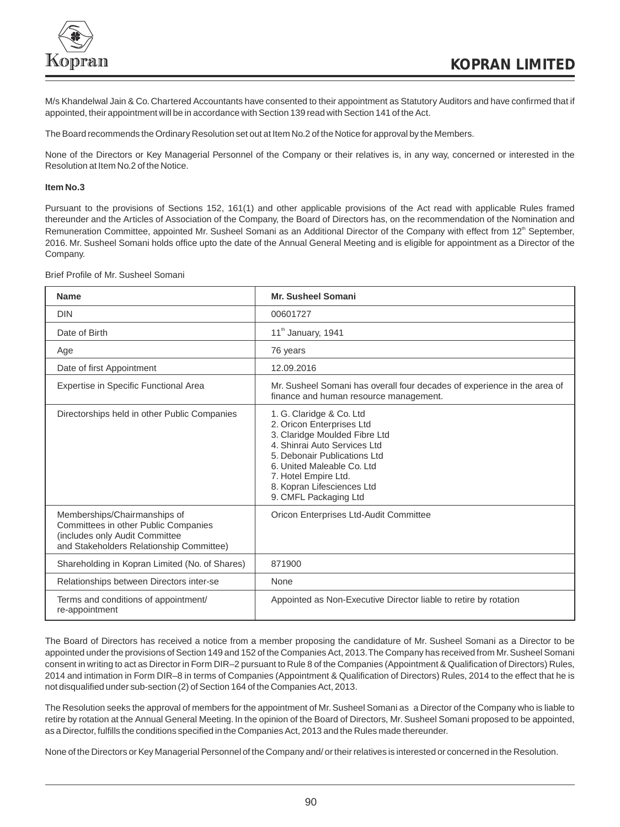

M/s Khandelwal Jain & Co.Chartered Accountants have consented to their appointment as Statutory Auditors and have confirmed that if appointed, their appointment will be in accordance with Section 139 read with Section 141 of the Act.

The Board recommends the Ordinary Resolution set out at Item No.2 of the Notice for approval by the Members.

None of the Directors or Key Managerial Personnel of the Company or their relatives is, in any way, concerned or interested in the Resolution at Item No.2 of the Notice.

# **Item No.3**

Pursuant to the provisions of Sections 152, 161(1) and other applicable provisions of the Act read with applicable Rules framed thereunder and the Articles of Association of the Company, the Board of Directors has, on the recommendation of the Nomination and Remuneration Committee, appointed Mr. Susheel Somani as an Additional Director of the Company with effect from 12<sup>th</sup> September, 2016. Mr. Susheel Somani holds office upto the date of the Annual General Meeting and is eligible for appointment as a Director of the Company.

Brief Profile of Mr. Susheel Somani

| <b>Name</b>                                                                                                                                        | Mr. Susheel Somani                                                                                                                                                                                                                                                  |
|----------------------------------------------------------------------------------------------------------------------------------------------------|---------------------------------------------------------------------------------------------------------------------------------------------------------------------------------------------------------------------------------------------------------------------|
| <b>DIN</b>                                                                                                                                         | 00601727                                                                                                                                                                                                                                                            |
| Date of Birth                                                                                                                                      | 11 <sup>th</sup> January, 1941                                                                                                                                                                                                                                      |
| Age                                                                                                                                                | 76 years                                                                                                                                                                                                                                                            |
| Date of first Appointment                                                                                                                          | 12.09.2016                                                                                                                                                                                                                                                          |
| Expertise in Specific Functional Area                                                                                                              | Mr. Susheel Somani has overall four decades of experience in the area of<br>finance and human resource management.                                                                                                                                                  |
| Directorships held in other Public Companies                                                                                                       | 1. G. Claridge & Co. Ltd<br>2. Oricon Enterprises Ltd<br>3. Claridge Moulded Fibre Ltd<br>4. Shinrai Auto Services Ltd<br>5. Debonair Publications Ltd<br>6. United Maleable Co. Ltd<br>7. Hotel Empire Ltd.<br>8. Kopran Lifesciences Ltd<br>9. CMFL Packaging Ltd |
| Memberships/Chairmanships of<br>Committees in other Public Companies<br>(includes only Audit Committee<br>and Stakeholders Relationship Committee) | Oricon Enterprises Ltd-Audit Committee                                                                                                                                                                                                                              |
| Shareholding in Kopran Limited (No. of Shares)                                                                                                     | 871900                                                                                                                                                                                                                                                              |
| Relationships between Directors inter-se                                                                                                           | None                                                                                                                                                                                                                                                                |
| Terms and conditions of appointment/<br>re-appointment                                                                                             | Appointed as Non-Executive Director liable to retire by rotation                                                                                                                                                                                                    |

The Board of Directors has received a notice from a member proposing the candidature of Mr. Susheel Somani as a Director to be appointed under the provisions of Section 149 and 152 of the Companies Act, 2013. The Company has received from Mr. Susheel Somani consent in writing to act as Director in Form DIR–2 pursuant to Rule 8 of the Companies (Appointment & Qualification of Directors) Rules, 2014 and intimation in Form DIR–8 in terms of Companies (Appointment & Qualification of Directors) Rules, 2014 to the effect that he is not disqualified under sub-section (2) of Section 164 of the Companies Act, 2013.

The Resolution seeks the approval of members for the appointment of Mr.Susheel Somani as a Director of the Company who is liable to retire by rotation at the Annual General Meeting. In the opinion of the Board of Directors, Mr.Susheel Somani proposed to be appointed, as a Director, fulfills the conditions specified in the Companies Act, 2013 and the Rules made thereunder.

None of the Directors or Key Managerial Personnel of the Company and/ or their relatives is interested or concerned in the Resolution.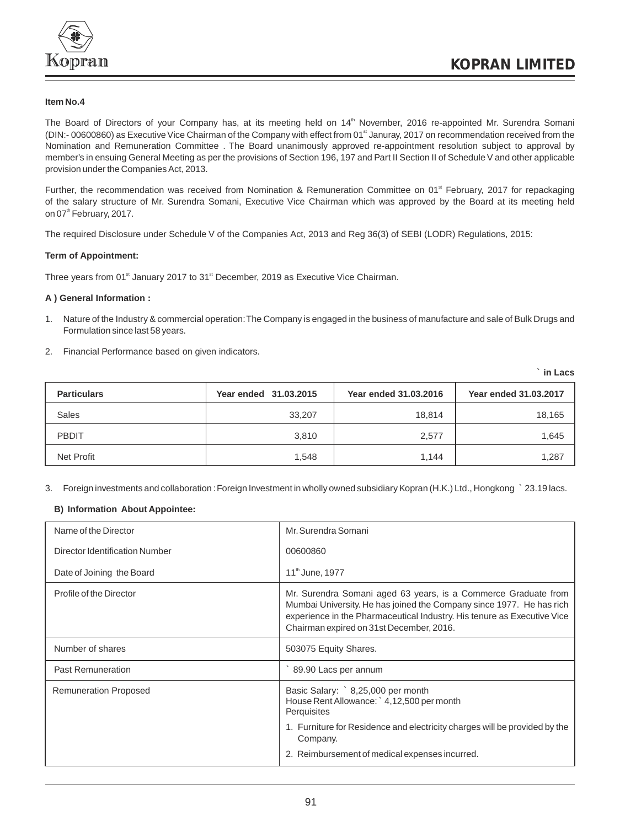

# **Item No.4**

The Board of Directors of your Company has, at its meeting held on 14<sup>th</sup> November, 2016 re-appointed Mr. Surendra Somani (DIN:- 00600860) as Executive Vice Chairman of the Company with effect from 01<sup>\*</sup> Januray, 2017 on recommendation received from the Nomination and Remuneration Committee . The Board unanimously approved re-appointment resolution subject to approval by member's in ensuing General Meeting as per the provisions of Section 196, 197 and Part II Section II of Schedule V and other applicable provision under the Companies Act, 2013.

Further, the recommendation was received from Nomination & Remuneration Committee on 01<sup>st</sup> February, 2017 for repackaging of the salary structure of Mr. Surendra Somani, Executive Vice Chairman which was approved by the Board at its meeting held on 07<sup>th</sup> February, 2017.

The required Disclosure under Schedule V of the Companies Act, 2013 and Reg 36(3) of SEBI (LODR) Regulations, 2015:

# **Term of Appointment:**

Three years from 01<sup>st</sup> January 2017 to 31<sup>st</sup> December, 2019 as Executive Vice Chairman.

### **A ) General Information :**

- 1. Nature of the Industry & commercial operation:The Company is engaged in the business of manufacture and sale of Bulk Drugs and Formulation since last 58 years.
- 2. Financial Performance based on given indicators.

` **in Lacs**

| <b>Particulars</b> | Year ended 31,03,2015 | Year ended 31,03,2016 | Year ended 31,03,2017 |
|--------------------|-----------------------|-----------------------|-----------------------|
| <b>Sales</b>       | 33,207                | 18,814                | 18,165                |
| <b>PBDIT</b>       | 3,810                 | 2,577                 | 1,645                 |
| Net Profit         | 1,548                 | 1,144                 | 1,287                 |

3. Foreign investments and collaboration :Foreign Investment in wholly owned subsidiary Kopran (H.K.) Ltd., Hongkong ` 23.19 lacs.

# **B) Information About Appointee:**

| Name of the Director           | Mr. Surendra Somani                                                                                                                                                                                                                                           |
|--------------------------------|---------------------------------------------------------------------------------------------------------------------------------------------------------------------------------------------------------------------------------------------------------------|
| Director Identification Number | 00600860                                                                                                                                                                                                                                                      |
| Date of Joining the Board      | 11th June, 1977                                                                                                                                                                                                                                               |
| Profile of the Director        | Mr. Surendra Somani aged 63 years, is a Commerce Graduate from<br>Mumbai University. He has joined the Company since 1977. He has rich<br>experience in the Pharmaceutical Industry. His tenure as Executive Vice<br>Chairman expired on 31st December, 2016. |
| Number of shares               | 503075 Equity Shares.                                                                                                                                                                                                                                         |
| <b>Past Remuneration</b>       | 89.90 Lacs per annum                                                                                                                                                                                                                                          |
| <b>Remuneration Proposed</b>   | Basic Salary: ` 8,25,000 per month<br>House Rent Allowance: 4,12,500 per month<br>Perquisites                                                                                                                                                                 |
|                                | 1. Furniture for Residence and electricity charges will be provided by the<br>Company.                                                                                                                                                                        |
|                                | 2. Reimbursement of medical expenses incurred.                                                                                                                                                                                                                |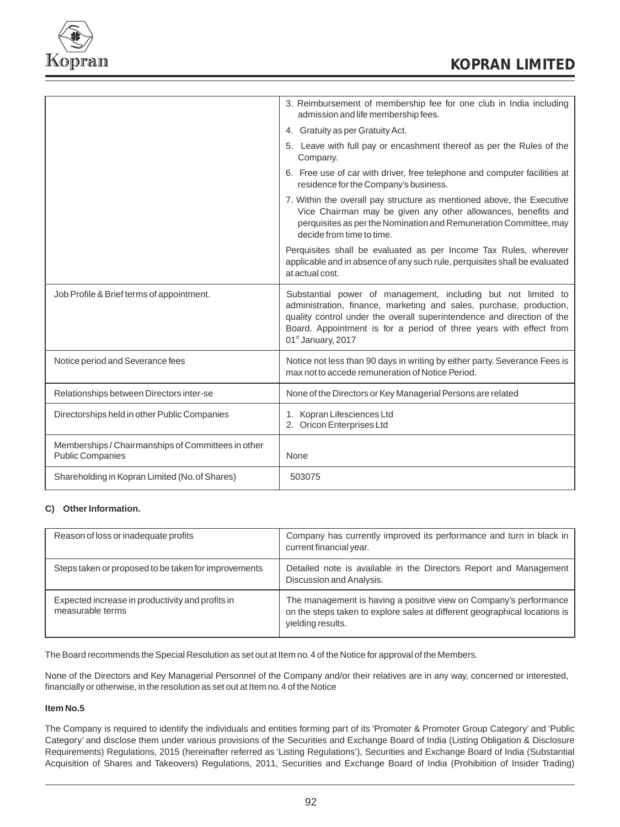

|                                                                               | 3. Reimbursement of membership fee for one club in India including<br>admission and life membership fees.                                                                                                                                                                                                              |
|-------------------------------------------------------------------------------|------------------------------------------------------------------------------------------------------------------------------------------------------------------------------------------------------------------------------------------------------------------------------------------------------------------------|
|                                                                               | 4. Gratuity as per Gratuity Act.                                                                                                                                                                                                                                                                                       |
|                                                                               | 5. Leave with full pay or encashment thereof as per the Rules of the<br>Company.                                                                                                                                                                                                                                       |
|                                                                               | 6. Free use of car with driver, free telephone and computer facilities at<br>residence for the Company's business.                                                                                                                                                                                                     |
|                                                                               | 7. Within the overall pay structure as mentioned above, the Executive<br>Vice Chairman may be given any other allowances, benefits and<br>perquisites as per the Nomination and Remuneration Committee, may<br>decide from time to time.                                                                               |
|                                                                               | Perquisites shall be evaluated as per Income Tax Rules, wherever<br>applicable and in absence of any such rule, perquisites shall be evaluated<br>at actual cost.                                                                                                                                                      |
| Job Profile & Brief terms of appointment.                                     | Substantial power of management, including but not limited to<br>administration, finance, marketing and sales, purchase, production,<br>quality control under the overall superintendence and direction of the<br>Board. Appointment is for a period of three years with effect from<br>01 <sup>st</sup> January, 2017 |
| Notice period and Severance fees                                              | Notice not less than 90 days in writing by either party. Severance Fees is<br>max not to accede remuneration of Notice Period.                                                                                                                                                                                         |
| Relationships between Directors inter-se                                      | None of the Directors or Key Managerial Persons are related                                                                                                                                                                                                                                                            |
| Directorships held in other Public Companies                                  | 1. Kopran Lifesciences Ltd<br>2. Oricon Enterprises Ltd                                                                                                                                                                                                                                                                |
| Memberships / Chairmanships of Committees in other<br><b>Public Companies</b> | None                                                                                                                                                                                                                                                                                                                   |
| Shareholding in Kopran Limited (No. of Shares)                                | 503075                                                                                                                                                                                                                                                                                                                 |

# **C) Other Information.**

| Reason of loss or inadequate profits                                 | Company has currently improved its performance and turn in black in<br>current financial year.                                                                       |
|----------------------------------------------------------------------|----------------------------------------------------------------------------------------------------------------------------------------------------------------------|
| Steps taken or proposed to be taken for improvements                 | Detailed note is available in the Directors Report and Management  <br>Discussion and Analysis.                                                                      |
| Expected increase in productivity and profits in<br>measurable terms | The management is having a positive view on Company's performance<br>on the steps taken to explore sales at different geographical locations is<br>yielding results. |

The Board recommends the Special Resolution as set out at Item no.4 of the Notice for approval of the Members.

None of the Directors and Key Managerial Personnel of the Company and/or their relatives are in any way, concerned or interested, financially or otherwise, in the resolution as set out at Item no.4 of the Notice

# **Item No.5**

The Company is required to identify the individuals and entities forming part of its 'Promoter & Promoter Group Category' and 'Public Category' and disclose them under various provisions of the Securities and Exchange Board of India (Listing Obligation & Disclosure Requirements) Regulations, 2015 (hereinafter referred as 'Listing Regulations'), Securities and Exchange Board of India (Substantial Acquisition of Shares and Takeovers) Regulations, 2011, Securities and Exchange Board of India (Prohibition of Insider Trading)